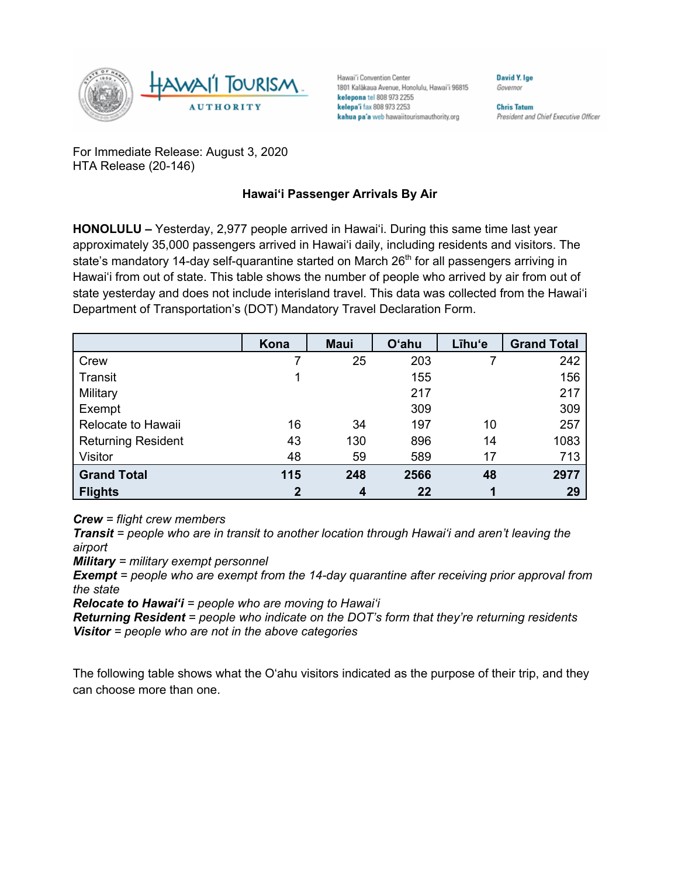

Hawai'i Convention Center 1801 Kalākaua Avenue, Honolulu, Hawai'i 96815 kelepona tel 808 973 2255 kelepa'i fax 808 973 2253 kahua pa'a web hawaiitourismauthority.org

**Chris Tatum** President and Chief Executive Officer

David Y. Ige

Governor

For Immediate Release: August 3, 2020 HTA Release (20-146)

## **Hawai'i Passenger Arrivals By Air**

**HONOLULU –** Yesterday, 2,977 people arrived in Hawai'i. During this same time last year approximately 35,000 passengers arrived in Hawai'i daily, including residents and visitors. The state's mandatory 14-day self-quarantine started on March 26<sup>th</sup> for all passengers arriving in Hawai'i from out of state. This table shows the number of people who arrived by air from out of state yesterday and does not include interisland travel. This data was collected from the Hawai'i Department of Transportation's (DOT) Mandatory Travel Declaration Form.

|                           | Kona        | <b>Maui</b> | <b>O'ahu</b> | Līhu'e | <b>Grand Total</b> |
|---------------------------|-------------|-------------|--------------|--------|--------------------|
| Crew                      |             | 25          | 203          |        | 242                |
| Transit                   |             |             | 155          |        | 156                |
| Military                  |             |             | 217          |        | 217                |
| Exempt                    |             |             | 309          |        | 309                |
| Relocate to Hawaii        | 16          | 34          | 197          | 10     | 257                |
| <b>Returning Resident</b> | 43          | 130         | 896          | 14     | 1083               |
| Visitor                   | 48          | 59          | 589          | 17     | 713                |
| <b>Grand Total</b>        | 115         | 248         | 2566         | 48     | 2977               |
| <b>Flights</b>            | $\mathbf 2$ | 4           | 22           |        | 29                 |

*Crew = flight crew members*

*Transit = people who are in transit to another location through Hawai'i and aren't leaving the airport*

*Military = military exempt personnel*

*Exempt = people who are exempt from the 14-day quarantine after receiving prior approval from the state*

*Relocate to Hawai'i = people who are moving to Hawai'i*

*Returning Resident = people who indicate on the DOT's form that they're returning residents Visitor = people who are not in the above categories*

The following table shows what the O'ahu visitors indicated as the purpose of their trip, and they can choose more than one.